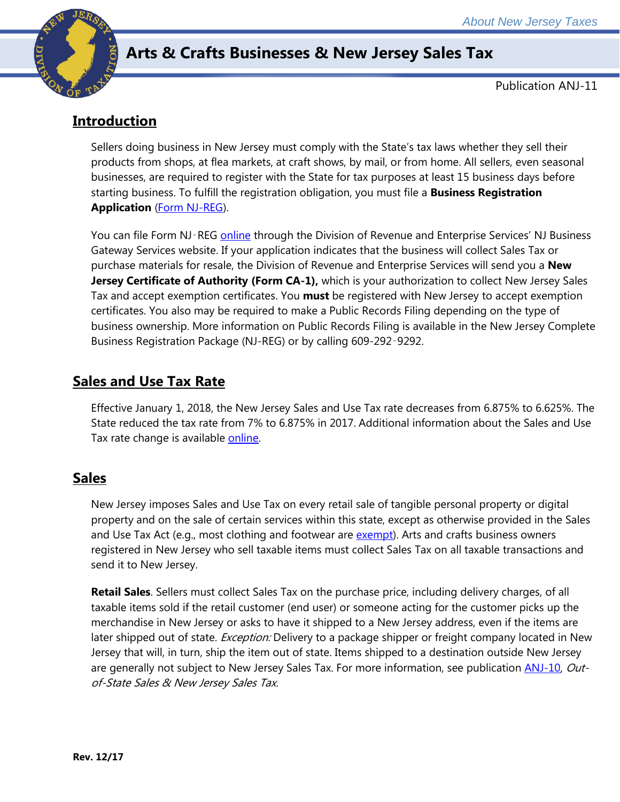

# **Arts & Crafts Businesses & New Jersey Sales Tax**

Publication ANJ-11

# **Introduction**

Sellers doing business in New Jersey must comply with the State's tax laws whether they sell their products from shops, at flea markets, at craft shows, by mail, or from home. All sellers, even seasonal businesses, are required to register with the State for tax purposes at least 15 business days before starting business. To fulfill the registration obligation, you must file a **Business Registration Application** [\(Form NJ-REG\)](http://www.state.nj.us/treasury/revenue/revprnt.shtml).

You can file Form NJ-REG *online* through the Division of Revenue and Enterprise Services' NJ Business Gateway Services website. If your application indicates that the business will collect Sales Tax or purchase materials for resale, the Division of Revenue and Enterprise Services will send you a **New Jersey Certificate of Authority (Form CA-1),** which is your authorization to collect New Jersey Sales Tax and accept exemption certificates. You **must** be registered with New Jersey to accept exemption certificates. You also may be required to make a Public Records Filing depending on the type of business ownership. More information on Public Records Filing is available in the New Jersey Complete Business Registration Package (NJ-REG) or by calling 609-292-9292.

## **Sales and Use Tax Rate**

Effective January 1, 2018, the New Jersey Sales and Use Tax rate decreases from 6.875% to 6.625%. The State reduced the tax rate from 7% to 6.875% in 2017. Additional information about the Sales and Use Tax rate change is available [online.](http://www.state.nj.us/treasury/taxation/ratechange/su-overview.shtml)

#### **Sales**

New Jersey imposes Sales and Use Tax on every retail sale of tangible personal property or digital property and on the sale of certain services within this state, except as otherwise provided in the Sales and Use Tax Act (e.g., most clothing and footwear are [exempt\)](http://www.state.nj.us/treasury/taxation/pdf/pubs/sales/su4.pdf). Arts and crafts business owners registered in New Jersey who sell taxable items must collect Sales Tax on all taxable transactions and send it to New Jersey.

**Retail Sales**. Sellers must collect Sales Tax on the purchase price, including delivery charges, of all taxable items sold if the retail customer (end user) or someone acting for the customer picks up the merchandise in New Jersey or asks to have it shipped to a New Jersey address, even if the items are later shipped out of state. *Exception:* Delivery to a package shipper or freight company located in New Jersey that will, in turn, ship the item out of state. Items shipped to a destination outside New Jersey are generally not subject to New Jersey Sales Tax. For more information, see publication **ANJ-10**, Outof-State Sales & New Jersey Sales Tax.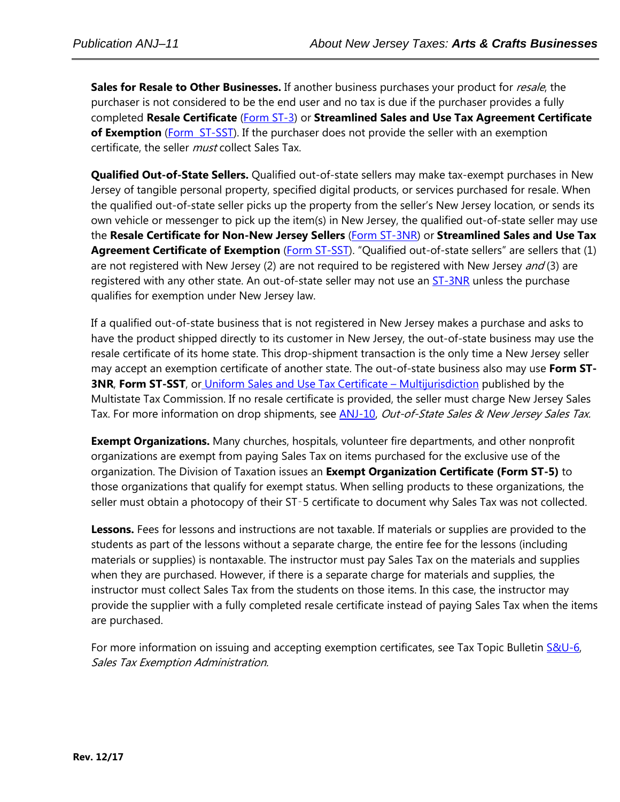Sales for Resale to Other Businesses. If another business purchases your product for *resale*, the purchaser is not considered to be the end user and no tax is due if the purchaser provides a fully completed **Resale Certificate** [\(Form ST-3\)](http://www.state.nj.us/treasury/taxation/pdf/other_forms/sales/st3.pdf) or **Streamlined Sales and Use Tax Agreement Certificate of Exemption** [\(Form ST-SST\)](http://www.state.nj.us/treasury/taxation/pdf/other_forms/sales/st_sst.pdf). If the purchaser does not provide the seller with an exemption certificate, the seller *must* collect Sales Tax.

**Qualified Out-of-State Sellers.** Qualified out-of-state sellers may make tax-exempt purchases in New Jersey of tangible personal property, specified digital products, or services purchased for resale. When the qualified out-of-state seller picks up the property from the seller's New Jersey location, or sends its own vehicle or messenger to pick up the item(s) in New Jersey, the qualified out-of-state seller may use the **Resale Certificate for Non-New Jersey Sellers** [\(Form ST-3NR\)](http://www.state.nj.us/treasury/taxation/pdf/other_forms/sales/st3nr.pdf) or **Streamlined Sales and Use Tax**  Agreement Certificate of Exemption [\(Form ST-SST\)](http://www.state.nj.us/treasury/taxation/pdf/other_forms/sales/st_sst.pdf). "Qualified out-of-state sellers" are sellers that (1) are not registered with New Jersey (2) are not required to be registered with New Jersey and (3) are registered with any other state. An out-of-state seller may not use an **ST-3NR** unless the purchase qualifies for exemption under New Jersey law.

If a qualified out-of-state business that is not registered in New Jersey makes a purchase and asks to have the product shipped directly to its customer in New Jersey, the out-of-state business may use the resale certificate of its home state. This drop-shipment transaction is the only time a New Jersey seller may accept an exemption certificate of another state. The out-of-state business also may use **Form ST-3NR, Form ST-SST**, or [Uniform Sales and Use Tax Certificate –](http://www.mtc.gov/uploadedFiles/Multistate_Tax_Commission/Resources/Forms/Uniform%20Sales%20and%20Use%20Certificate-1_2009.pdf) Multijurisdiction published by the Multistate Tax Commission. If no resale certificate is provided, the seller must charge New Jersey Sales Tax. For more information on drop shipments, see **ANJ-10**, Out-of-State Sales & New Jersey Sales Tax.

**Exempt Organizations.** Many churches, hospitals, volunteer fire departments, and other nonprofit organizations are exempt from paying Sales Tax on items purchased for the exclusive use of the organization. The Division of Taxation issues an **Exempt Organization Certificate (Form ST-5)** to those organizations that qualify for exempt status. When selling products to these organizations, the seller must obtain a photocopy of their ST-5 certificate to document why Sales Tax was not collected.

**Lessons.** Fees for lessons and instructions are not taxable. If materials or supplies are provided to the students as part of the lessons without a separate charge, the entire fee for the lessons (including materials or supplies) is nontaxable. The instructor must pay Sales Tax on the materials and supplies when they are purchased. However, if there is a separate charge for materials and supplies, the instructor must collect Sales Tax from the students on those items. In this case, the instructor may provide the supplier with a fully completed resale certificate instead of paying Sales Tax when the items are purchased.

For more information on issuing and accepting exemption certificates, see Tax Topic Bulletin S&U-6, Sales Tax Exemption Administration.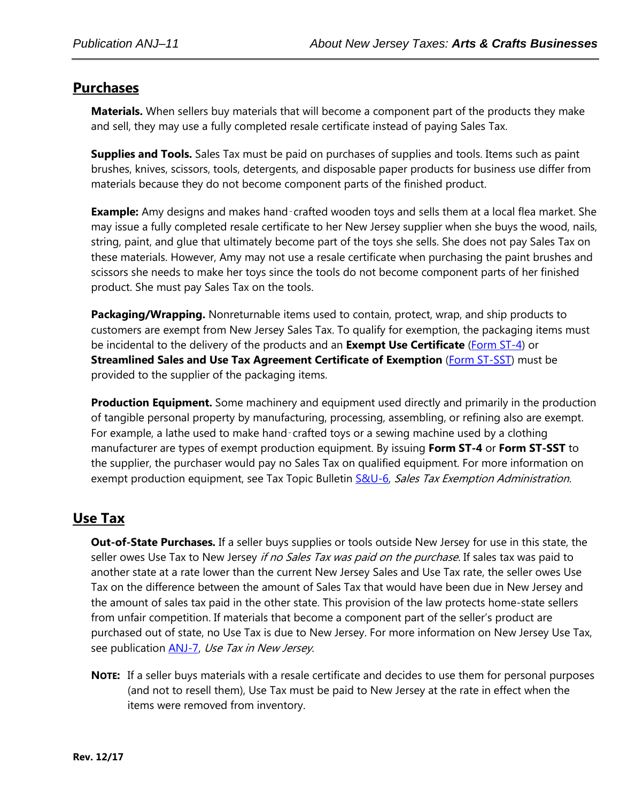#### **Purchases**

**Materials.** When sellers buy materials that will become a component part of the products they make and sell, they may use a fully completed resale certificate instead of paying Sales Tax.

**Supplies and Tools.** Sales Tax must be paid on purchases of supplies and tools. Items such as paint brushes, knives, scissors, tools, detergents, and disposable paper products for business use differ from materials because they do not become component parts of the finished product.

**Example:** Amy designs and makes hand‑crafted wooden toys and sells them at a local flea market. She may issue a fully completed resale certificate to her New Jersey supplier when she buys the wood, nails, string, paint, and glue that ultimately become part of the toys she sells. She does not pay Sales Tax on these materials. However, Amy may not use a resale certificate when purchasing the paint brushes and scissors she needs to make her toys since the tools do not become component parts of her finished product. She must pay Sales Tax on the tools.

**Packaging/Wrapping.** Nonreturnable items used to contain, protect, wrap, and ship products to customers are exempt from New Jersey Sales Tax. To qualify for exemption, the packaging items must be incidental to the delivery of the products and an **Exempt Use Certificate** [\(Form ST-4\)](http://www.state.nj.us/treasury/taxation/pdf/other_forms/sales/st4.pdf) or **Streamlined Sales and Use Tax Agreement Certificate of Exemption** [\(Form ST-SST\)](http://www.state.nj.us/treasury/taxation/pdf/other_forms/sales/st_sst.pdf) must be provided to the supplier of the packaging items.

**Production Equipment.** Some machinery and equipment used directly and primarily in the production of tangible personal property by manufacturing, processing, assembling, or refining also are exempt. For example, a lathe used to make hand-crafted toys or a sewing machine used by a clothing manufacturer are types of exempt production equipment. By issuing **Form ST-4** or **Form ST-SST** to the supplier, the purchaser would pay no Sales Tax on qualified equipment. For more information on exempt production equipment, see Tax Topic Bulletin [S&U-6,](http://www.state.nj.us/treasury/taxation/pdf/pubs/sales/su6.pdf) Sales Tax Exemption Administration.

#### **Use Tax**

**Out-of-State Purchases.** If a seller buys supplies or tools outside New Jersey for use in this state, the seller owes Use Tax to New Jersey if no Sales Tax was paid on the purchase. If sales tax was paid to another state at a rate lower than the current New Jersey Sales and Use Tax rate, the seller owes Use Tax on the difference between the amount of Sales Tax that would have been due in New Jersey and the amount of sales tax paid in the other state. This provision of the law protects home-state sellers from unfair competition. If materials that become a component part of the seller's product are purchased out of state, no Use Tax is due to New Jersey. For more information on New Jersey Use Tax, see publication [ANJ-7,](http://www.state.nj.us/treasury/taxation/pdf/pubs/sales/anj7.pdf) Use Tax in New Jersey.

**NOTE:** If a seller buys materials with a resale certificate and decides to use them for personal purposes (and not to resell them), Use Tax must be paid to New Jersey at the rate in effect when the items were removed from inventory.